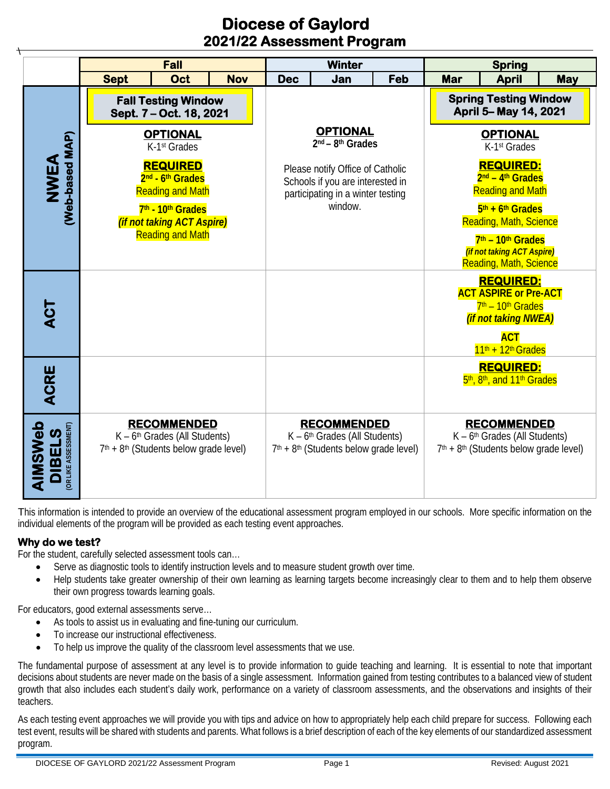# **Diocese of Gaylord 2021/22 Assessment Program**

|                          |                                                                                                   | <b>Fall</b> |                                                                                                   |                                                                                                                      | <b>Winter</b> |                                                                                                                         |                                                                                                                 | <b>Spring</b>                                                                                                         |            |  |
|--------------------------|---------------------------------------------------------------------------------------------------|-------------|---------------------------------------------------------------------------------------------------|----------------------------------------------------------------------------------------------------------------------|---------------|-------------------------------------------------------------------------------------------------------------------------|-----------------------------------------------------------------------------------------------------------------|-----------------------------------------------------------------------------------------------------------------------|------------|--|
|                          | <b>Sept</b>                                                                                       | Oct         | <b>Nov</b>                                                                                        | <b>Dec</b>                                                                                                           | Jan           | Feb                                                                                                                     | Mar                                                                                                             | <b>April</b>                                                                                                          | <b>May</b> |  |
| (Web-based MAP)<br>NWEA  | <b>Fall Testing Window</b><br>Sept. 7 - Oct. 18, 2021                                             |             |                                                                                                   |                                                                                                                      |               |                                                                                                                         | <b>Spring Testing Window</b><br>April 5-May 14, 2021                                                            |                                                                                                                       |            |  |
|                          | <b>OPTIONAL</b><br>K-1 <sup>st</sup> Grades                                                       |             |                                                                                                   | <b>OPTIONAL</b><br>2 <sup>nd</sup> - 8 <sup>th</sup> Grades                                                          |               |                                                                                                                         | <b>OPTIONAL</b><br>K-1 <sup>st</sup> Grades                                                                     |                                                                                                                       |            |  |
|                          | <b>REQUIRED</b><br>2 <sup>nd</sup> - 6 <sup>th</sup> Grades<br><b>Reading and Math</b>            |             |                                                                                                   | Please notify Office of Catholic<br>Schools if you are interested in<br>participating in a winter testing<br>window. |               |                                                                                                                         | <b>REQUIRED:</b><br>$2nd - 4th Grades$<br><b>Reading and Math</b>                                               |                                                                                                                       |            |  |
|                          | 7th - 10th Grades<br>(if not taking ACT Aspire)<br><b>Reading and Math</b>                        |             |                                                                                                   |                                                                                                                      |               |                                                                                                                         | $5th + 6th$ Grades<br><b>Reading, Math, Science</b>                                                             |                                                                                                                       |            |  |
|                          |                                                                                                   |             |                                                                                                   |                                                                                                                      |               |                                                                                                                         | 7 <sup>th</sup> – 10 <sup>th</sup> Grades<br><i>(if not taking ACT Aspire)</i><br><b>Reading, Math, Science</b> |                                                                                                                       |            |  |
|                          | <b>ACT</b>                                                                                        |             |                                                                                                   |                                                                                                                      |               |                                                                                                                         |                                                                                                                 | <b>REQUIRED:</b><br><b>ACT ASPIRE or Pre-ACT</b><br>7 <sup>th</sup> - 10 <sup>th</sup> Grades<br>(if not taking NWEA) |            |  |
|                          |                                                                                                   |             |                                                                                                   |                                                                                                                      |               |                                                                                                                         | <b>ACT</b><br>$11th + 12th$ Grades                                                                              |                                                                                                                       |            |  |
| ACRE                     |                                                                                                   |             |                                                                                                   |                                                                                                                      |               |                                                                                                                         |                                                                                                                 | <b>REQUIRED:</b><br>5 <sup>th</sup> , 8 <sup>th</sup> , and 11 <sup>th</sup> Grades                                   |            |  |
| AIMSWeb<br><b>DIBELS</b> | <b>RECOMMENDED</b><br>$K - 6th$ Grades (All Students)<br>$7th + 8th$ (Students below grade level) |             | <b>RECOMMENDED</b><br>$K - 6th$ Grades (All Students)<br>$7th + 8th$ (Students below grade level) |                                                                                                                      |               | <b>RECOMMENDED</b><br>$K - 6th$ Grades (All Students)<br>7 <sup>th</sup> + 8 <sup>th</sup> (Students below grade level) |                                                                                                                 |                                                                                                                       |            |  |

This information is intended to provide an overview of the educational assessment program employed in our schools. More specific information on the individual elements of the program will be provided as each testing event approaches.

### **Why do we test?**

For the student, carefully selected assessment tools can…

- Serve as diagnostic tools to identify instruction levels and to measure student growth over time.
- Help students take greater ownership of their own learning as learning targets become increasingly clear to them and to help them observe their own progress towards learning goals.

For educators, good external assessments serve…

- As tools to assist us in evaluating and fine-tuning our curriculum.
- To increase our instructional effectiveness.
- To help us improve the quality of the classroom level assessments that we use.

The fundamental purpose of assessment at any level is to provide information to guide teaching and learning. It is essential to note that important decisions about students are never made on the basis of a single assessment. Information gained from testing contributes to a balanced view of student growth that also includes each student's daily work, performance on a variety of classroom assessments, and the observations and insights of their teachers.

As each testing event approaches we will provide you with tips and advice on how to appropriately help each child prepare for success. Following each test event, results will be shared with students and parents. What follows is a brief description of each of the key elements of our standardized assessment program.